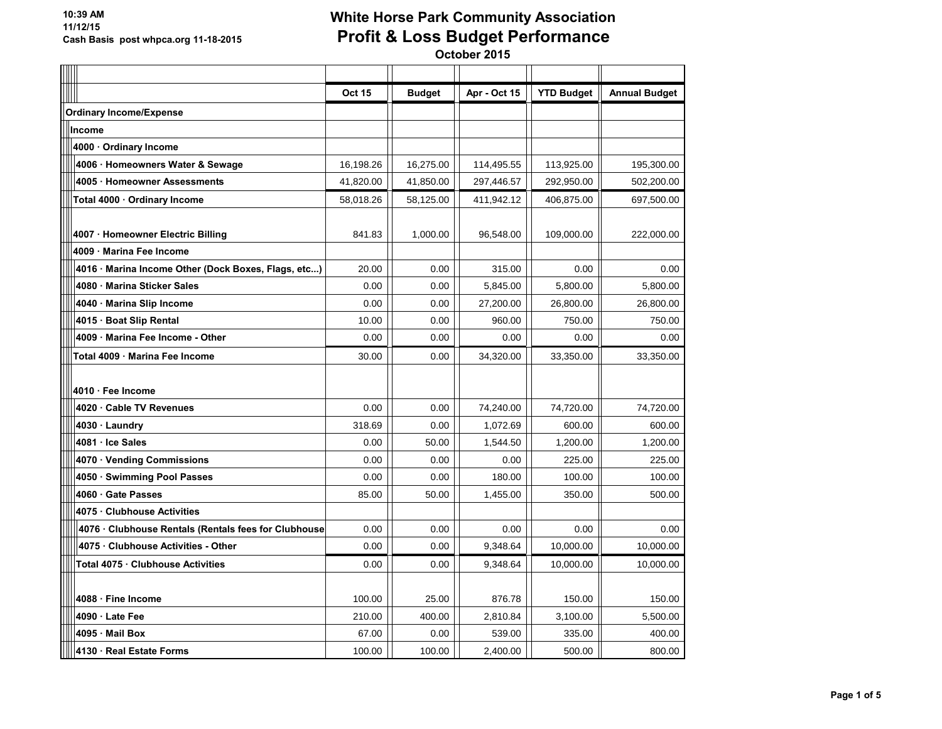| $\overline{a}$ |                                                      | <b>Oct 15</b> | <b>Budget</b> | Apr - Oct 15 | <b>YTD Budget</b> | <b>Annual Budget</b> |
|----------------|------------------------------------------------------|---------------|---------------|--------------|-------------------|----------------------|
|                | <b>Ordinary Income/Expense</b>                       |               |               |              |                   |                      |
|                | Income                                               |               |               |              |                   |                      |
|                | 4000 · Ordinary Income                               |               |               |              |                   |                      |
|                | 4006 · Homeowners Water & Sewage                     | 16,198.26     | 16,275.00     | 114,495.55   | 113,925.00        | 195,300.00           |
|                | 4005 Homeowner Assessments                           | 41,820.00     | 41,850.00     | 297,446.57   | 292,950.00        | 502,200.00           |
|                | Total 4000 · Ordinary Income                         | 58,018.26     | 58,125.00     | 411,942.12   | 406,875.00        | 697,500.00           |
|                |                                                      |               |               |              |                   |                      |
|                | 4007 · Homeowner Electric Billing                    | 841.83        | 1,000.00      | 96,548.00    | 109,000.00        | 222,000.00           |
|                | 4009 Marina Fee Income                               |               |               |              |                   |                      |
|                | 4016 · Marina Income Other (Dock Boxes, Flags, etc)  | 20.00         | 0.00          | 315.00       | 0.00              | 0.00                 |
|                | 4080 Marina Sticker Sales                            | 0.00          | 0.00          | 5,845.00     | 5,800.00          | 5.800.00             |
|                | 4040 Marina Slip Income                              | 0.00          | 0.00          | 27,200.00    | 26,800.00         | 26,800.00            |
|                | 4015 · Boat Slip Rental                              | 10.00         | 0.00          | 960.00       | 750.00            | 750.00               |
|                | 4009 Marina Fee Income - Other                       | 0.00          | 0.00          | 0.00         | 0.00              | 0.00                 |
|                | Total 4009 · Marina Fee Income                       | 30.00         | 0.00          | 34,320.00    | 33,350.00         | 33,350.00            |
|                |                                                      |               |               |              |                   |                      |
|                | 4010 · Fee Income                                    |               |               |              |                   |                      |
|                | 4020 Cable TV Revenues                               | 0.00          | 0.00          | 74,240.00    | 74,720.00         | 74,720.00            |
|                | 4030 · Laundry                                       | 318.69        | 0.00          | 1,072.69     | 600.00            | 600.00               |
|                | 4081 Ice Sales                                       | 0.00          | 50.00         | 1,544.50     | 1,200.00          | 1,200.00             |
|                | 4070 · Vending Commissions                           | 0.00          | 0.00          | 0.00         | 225.00            | 225.00               |
|                | 4050 Swimming Pool Passes                            | 0.00          | 0.00          | 180.00       | 100.00            | 100.00               |
|                | 4060 Gate Passes                                     | 85.00         | 50.00         | 1,455.00     | 350.00            | 500.00               |
|                | 4075 Clubhouse Activities                            |               |               |              |                   |                      |
|                | 4076 · Clubhouse Rentals (Rentals fees for Clubhouse | 0.00          | 0.00          | 0.00         | 0.00              | 0.00                 |
|                | 4075 Clubhouse Activities - Other                    | 0.00          | 0.00          | 9,348.64     | 10,000.00         | 10,000.00            |
|                | Total 4075 Clubhouse Activities                      | 0.00          | 0.00          | 9,348.64     | 10,000.00         | 10,000.00            |
|                |                                                      |               |               |              |                   |                      |
|                | 4088 · Fine Income                                   | 100.00        | 25.00         | 876.78       | 150.00            | 150.00               |
|                | 4090 · Late Fee                                      | 210.00        | 400.00        | 2,810.84     | 3,100.00          | 5,500.00             |
|                | 4095 Mail Box                                        | 67.00         | 0.00          | 539.00       | 335.00            | 400.00               |
|                | 4130 Real Estate Forms                               | 100.00        | 100.00        | 2,400.00     | 500.00            | 800.00               |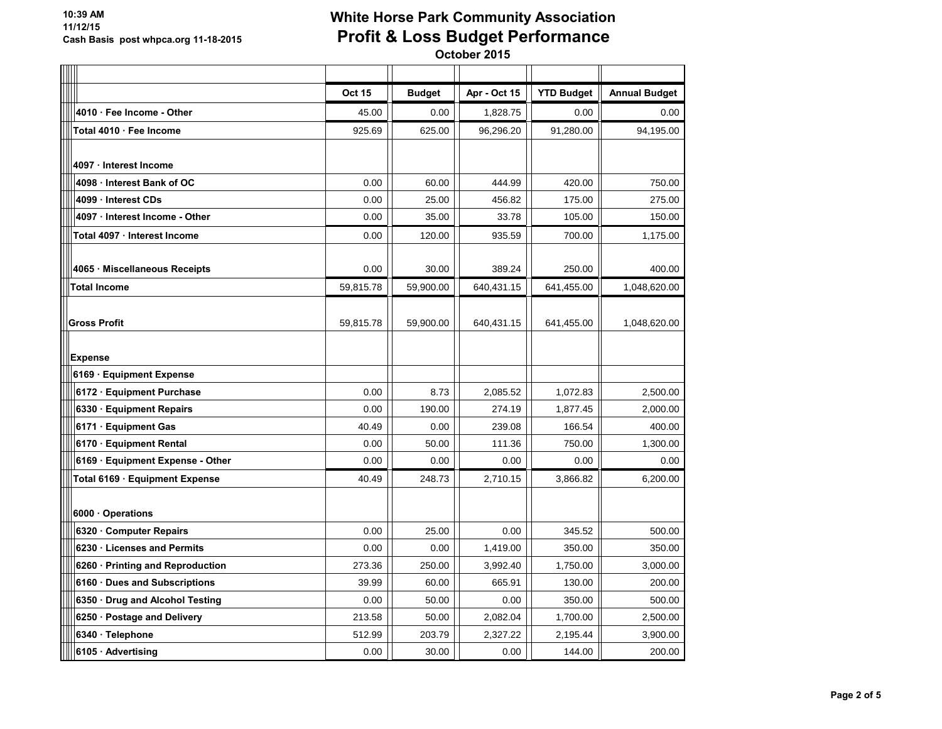| $\overline{\phantom{0}}$ |                                  | <b>Oct 15</b> | <b>Budget</b> | Apr - Oct 15 | <b>YTD Budget</b> | <b>Annual Budget</b> |
|--------------------------|----------------------------------|---------------|---------------|--------------|-------------------|----------------------|
|                          | 4010 Fee Income - Other          | 45.00         | 0.00          | 1,828.75     | 0.00              | 0.00                 |
|                          | Total 4010 · Fee Income          | 925.69        | 625.00        | 96,296.20    | 91,280.00         | 94,195.00            |
|                          |                                  |               |               |              |                   |                      |
|                          | 4097 · Interest Income           |               |               |              |                   |                      |
|                          | 4098 · Interest Bank of OC       | 0.00          | 60.00         | 444.99       | 420.00            | 750.00               |
|                          | 4099 Interest CDs                | 0.00          | 25.00         | 456.82       | 175.00            | 275.00               |
|                          | 4097 · Interest Income - Other   | 0.00          | 35.00         | 33.78        | 105.00            | 150.00               |
|                          | Total 4097 · Interest Income     | 0.00          | 120.00        | 935.59       | 700.00            | 1,175.00             |
|                          |                                  |               |               |              |                   |                      |
|                          | 4065 Miscellaneous Receipts      | 0.00          | 30.00         | 389.24       | 250.00            | 400.00               |
|                          | <b>Total Income</b>              | 59,815.78     | 59,900.00     | 640,431.15   | 641,455.00        | 1,048,620.00         |
|                          |                                  |               |               |              |                   |                      |
|                          | <b>Gross Profit</b>              | 59,815.78     | 59,900.00     | 640,431.15   | 641,455.00        | 1,048,620.00         |
|                          |                                  |               |               |              |                   |                      |
|                          | <b>Expense</b>                   |               |               |              |                   |                      |
|                          | 6169 · Equipment Expense         |               |               |              |                   |                      |
|                          | 6172 · Equipment Purchase        | 0.00          | 8.73          | 2,085.52     | 1,072.83          | 2,500.00             |
|                          | 6330 Equipment Repairs           | 0.00          | 190.00        | 274.19       | 1,877.45          | 2,000.00             |
|                          | 6171 · Equipment Gas             | 40.49         | 0.00          | 239.08       | 166.54            | 400.00               |
|                          | 6170 · Equipment Rental          | 0.00          | 50.00         | 111.36       | 750.00            | 1,300.00             |
|                          | 6169 · Equipment Expense - Other | 0.00          | 0.00          | 0.00         | 0.00              | 0.00                 |
|                          | Total 6169 Equipment Expense     | 40.49         | 248.73        | 2,710.15     | 3,866.82          | 6,200.00             |
|                          |                                  |               |               |              |                   |                      |
|                          | 6000 Operations                  |               |               |              |                   |                      |
|                          | 6320 Computer Repairs            | 0.00          | 25.00         | 0.00         | 345.52            | 500.00               |
|                          | 6230 · Licenses and Permits      | 0.00          | 0.00          | 1,419.00     | 350.00            | 350.00               |
|                          | 6260 · Printing and Reproduction | 273.36        | 250.00        | 3,992.40     | 1,750.00          | 3,000.00             |
|                          | 6160 Dues and Subscriptions      | 39.99         | 60.00         | 665.91       | 130.00            | 200.00               |
|                          | 6350 Drug and Alcohol Testing    | 0.00          | 50.00         | 0.00         | 350.00            | 500.00               |
|                          | 6250 · Postage and Delivery      | 213.58        | 50.00         | 2,082.04     | 1,700.00          | 2,500.00             |
|                          | 6340 · Telephone                 | 512.99        | 203.79        | 2,327.22     | 2,195.44          | 3,900.00             |
|                          | 6105 Advertising                 | 0.00          | 30.00         | 0.00         | 144.00            | 200.00               |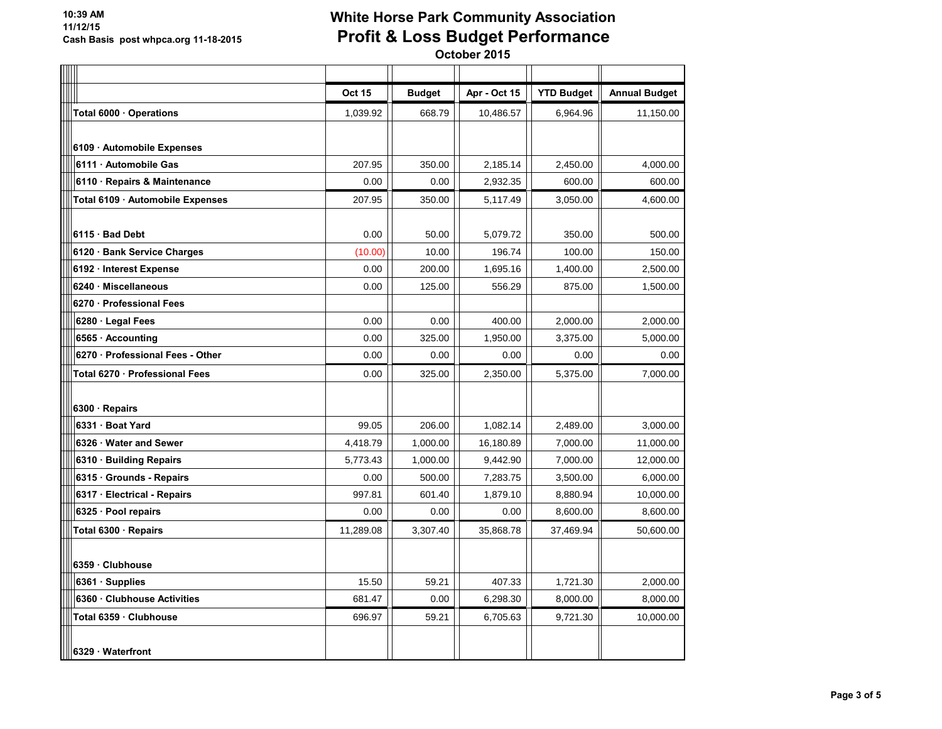#### **10:39 AM 11/12/15 Cash Basis post whpca.org 11-18-2015**

# **White Horse Park Community Association Profit & Loss Budget Performance**

| $\frac{1}{\sqrt{2}}$ |                                  | Oct 15    | <b>Budget</b> | Apr - Oct 15 | <b>YTD Budget</b> | <b>Annual Budget</b> |
|----------------------|----------------------------------|-----------|---------------|--------------|-------------------|----------------------|
|                      | Total 6000 · Operations          | 1,039.92  | 668.79        | 10,486.57    | 6,964.96          | 11,150.00            |
|                      |                                  |           |               |              |                   |                      |
|                      | 6109 · Automobile Expenses       |           |               |              |                   |                      |
|                      | 6111 Automobile Gas              | 207.95    | 350.00        | 2.185.14     | 2,450.00          | 4,000.00             |
|                      | 6110 · Repairs & Maintenance     | 0.00      | 0.00          | 2,932.35     | 600.00            | 600.00               |
|                      | Total 6109 · Automobile Expenses | 207.95    | 350.00        | 5,117.49     | 3,050.00          | 4,600.00             |
|                      |                                  |           |               |              |                   |                      |
|                      | 6115 Bad Debt                    | 0.00      | 50.00         | 5,079.72     | 350.00            | 500.00               |
|                      | 6120 Bank Service Charges        | (10.00)   | 10.00         | 196.74       | 100.00            | 150.00               |
|                      | 6192 · Interest Expense          | 0.00      | 200.00        | 1,695.16     | 1,400.00          | 2,500.00             |
|                      | 6240 · Miscellaneous             | 0.00      | 125.00        | 556.29       | 875.00            | 1,500.00             |
|                      | 6270 Professional Fees           |           |               |              |                   |                      |
|                      | 6280 · Legal Fees                | 0.00      | 0.00          | 400.00       | 2,000.00          | 2,000.00             |
|                      | 6565 · Accounting                | 0.00      | 325.00        | 1,950.00     | 3,375.00          | 5,000.00             |
|                      | 6270 · Professional Fees - Other | 0.00      | 0.00          | 0.00         | 0.00              | 0.00                 |
|                      | Total 6270 · Professional Fees   | 0.00      | 325.00        | 2,350.00     | 5,375.00          | 7,000.00             |
|                      |                                  |           |               |              |                   |                      |
|                      | 6300 · Repairs                   |           |               |              |                   |                      |
|                      | 6331 · Boat Yard                 | 99.05     | 206.00        | 1,082.14     | 2,489.00          | 3,000.00             |
|                      | 6326 Water and Sewer             | 4,418.79  | 1,000.00      | 16,180.89    | 7,000.00          | 11,000.00            |
|                      | 6310 Building Repairs            | 5,773.43  | 1,000.00      | 9,442.90     | 7,000.00          | 12,000.00            |
|                      | 6315 · Grounds - Repairs         | 0.00      | 500.00        | 7,283.75     | 3,500.00          | 6,000.00             |
|                      | 6317 Electrical - Repairs        | 997.81    | 601.40        | 1,879.10     | 8,880.94          | 10,000.00            |
|                      | 6325 · Pool repairs              | 0.00      | 0.00          | 0.00         | 8,600.00          | 8,600.00             |
|                      | Total 6300 · Repairs             | 11,289.08 | 3,307.40      | 35,868.78    | 37,469.94         | 50,600.00            |
|                      |                                  |           |               |              |                   |                      |
|                      | 6359 Clubhouse                   |           |               |              |                   |                      |
|                      | 6361 · Supplies                  | 15.50     | 59.21         | 407.33       | 1,721.30          | 2,000.00             |
|                      | 6360 Clubhouse Activities        | 681.47    | 0.00          | 6,298.30     | 8,000.00          | 8,000.00             |
|                      | Total 6359 · Clubhouse           | 696.97    | 59.21         | 6,705.63     | 9,721.30          | 10,000.00            |
|                      |                                  |           |               |              |                   |                      |
|                      | 6329 Waterfront                  |           |               |              |                   |                      |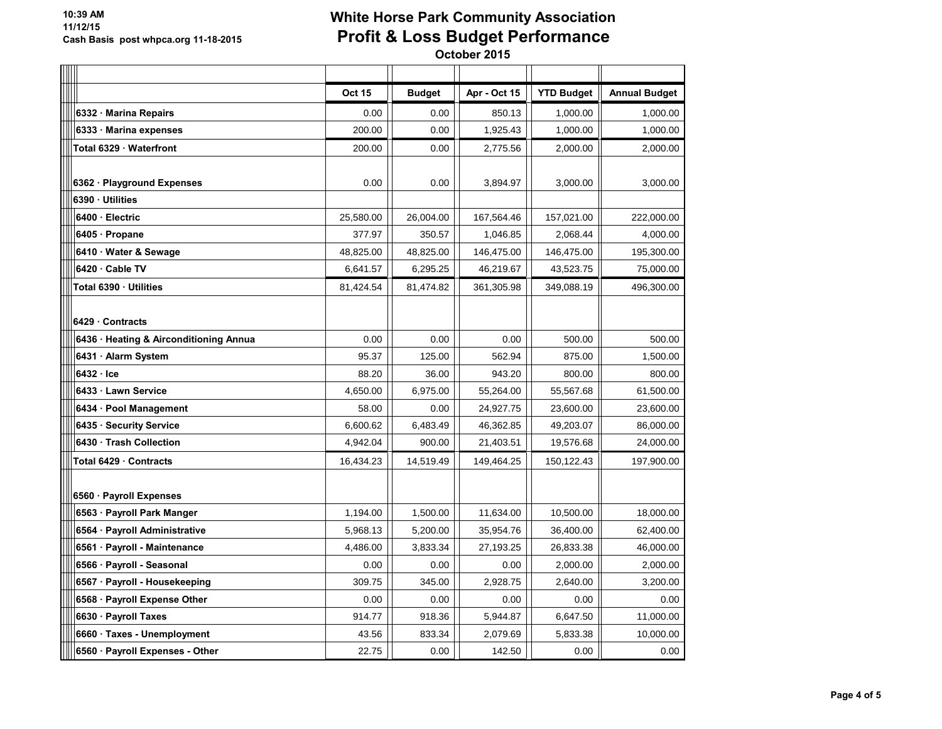|                                        | <b>Oct 15</b> | <b>Budget</b> | Apr - Oct 15 | <b>YTD Budget</b> | <b>Annual Budget</b> |
|----------------------------------------|---------------|---------------|--------------|-------------------|----------------------|
| 6332 Marina Repairs                    | 0.00          | 0.00          | 850.13       | 1,000.00          | 1,000.00             |
| 6333 Marina expenses                   | 200.00        | 0.00          | 1,925.43     | 1,000.00          | 1,000.00             |
| Total 6329 Waterfront                  | 200.00        | 0.00          | 2.775.56     | 2,000.00          | 2,000.00             |
|                                        |               |               |              |                   |                      |
| 6362 Playground Expenses               | 0.00          | 0.00          | 3,894.97     | 3,000.00          | 3,000.00             |
| 6390 Utilities                         |               |               |              |                   |                      |
| 6400 Electric                          | 25,580.00     | 26,004.00     | 167,564.46   | 157,021.00        | 222,000.00           |
| 6405 Propane                           | 377.97        | 350.57        | 1,046.85     | 2,068.44          | 4,000.00             |
| 6410 Water & Sewage                    | 48,825.00     | 48,825.00     | 146,475.00   | 146,475.00        | 195,300.00           |
| 6420 Cable TV                          | 6,641.57      | 6,295.25      | 46,219.67    | 43,523.75         | 75,000.00            |
| Total 6390 · Utilities                 | 81,424.54     | 81,474.82     | 361,305.98   | 349,088.19        | 496,300.00           |
|                                        |               |               |              |                   |                      |
| 6429 Contracts                         |               |               |              |                   |                      |
| 6436 · Heating & Airconditioning Annua | 0.00          | 0.00          | 0.00         | 500.00            | 500.00               |
| 6431 · Alarm System                    | 95.37         | 125.00        | 562.94       | 875.00            | 1,500.00             |
| 6432 Ice                               | 88.20         | 36.00         | 943.20       | 800.00            | 800.00               |
| 6433 Lawn Service                      | 4,650.00      | 6,975.00      | 55,264.00    | 55,567.68         | 61,500.00            |
| 6434 · Pool Management                 | 58.00         | 0.00          | 24,927.75    | 23,600.00         | 23,600.00            |
| 6435 · Security Service                | 6,600.62      | 6,483.49      | 46,362.85    | 49,203.07         | 86,000.00            |
| 6430 Trash Collection                  | 4,942.04      | 900.00        | 21,403.51    | 19,576.68         | 24,000.00            |
| Total 6429 Contracts                   | 16,434.23     | 14,519.49     | 149,464.25   | 150,122.43        | 197,900.00           |
|                                        |               |               |              |                   |                      |
| 6560 · Payroll Expenses                |               |               |              |                   |                      |
| 6563 · Payroll Park Manger             | 1,194.00      | 1,500.00      | 11,634.00    | 10,500.00         | 18,000.00            |
| 6564 · Payroll Administrative          | 5,968.13      | 5,200.00      | 35,954.76    | 36,400.00         | 62,400.00            |
| 6561 · Payroll - Maintenance           | 4,486.00      | 3,833.34      | 27,193.25    | 26,833.38         | 46,000.00            |
| 6566 · Payroll - Seasonal              | 0.00          | 0.00          | 0.00         | 2,000.00          | 2,000.00             |
| 6567 · Payroll - Housekeeping          | 309.75        | 345.00        | 2,928.75     | 2,640.00          | 3,200.00             |
| 6568 · Payroll Expense Other           | 0.00          | 0.00          | 0.00         | 0.00              | 0.00                 |
| 6630 · Payroll Taxes                   | 914.77        | 918.36        | 5,944.87     | 6,647.50          | 11,000.00            |
| 6660 Taxes - Unemployment              | 43.56         | 833.34        | 2,079.69     | 5,833.38          | 10,000.00            |
| 6560 · Payroll Expenses - Other        | 22.75         | 0.00          | 142.50       | 0.00              | 0.00                 |